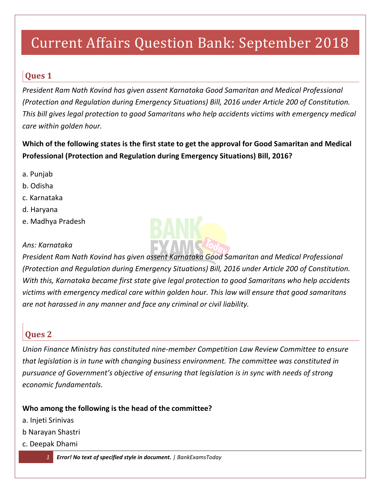# Current Affairs Question Bank: September 2018

## **Ques 1**

*President Ram Nath Kovind has given assent Karnataka Good Samaritan and Medical Professional (Protection and Regulation during Emergency Situations) Bill, 2016 under Article 200 of Constitution. This bill gives legal protection to good Samaritans who help accidents victims with emergency medical care within golden hour.* 

**Which of the following states is the first state to get the approval for Good Samaritan and Medical Professional (Protection and Regulation during Emergency Situations) Bill, 2016?**

- a. Punjab
- b. Odisha
- c. Karnataka
- d. Haryana
- e. Madhya Pradesh

#### *Ans: Karnataka*



## **Ques 2**

*Union Finance Ministry has constituted nine-member Competition Law Review Committee to ensure that legislation is in tune with changing business environment. The committee was constituted in pursuance of Government's objective of ensuring that legislation is in sync with needs of strong economic fundamentals.*

#### **Who among the following is the head of the committee?**

- a. Injeti Srinivas
- b Narayan Shastri
- c. Deepak Dhami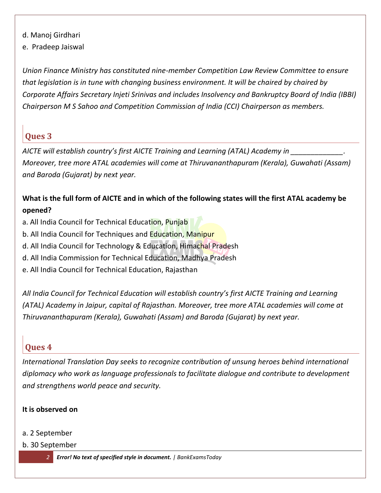- d. Manoj Girdhari
- e. Pradeep Jaiswal

*Union Finance Ministry has constituted nine-member Competition Law Review Committee to ensure that legislation is in tune with changing business environment. It will be chaired by chaired by Corporate Affairs Secretary Injeti Srinivas and includes Insolvency and Bankruptcy Board of India (IBBI) Chairperson M S Sahoo and Competition Commission of India (CCI) Chairperson as members.*

## **Ques 3**

*AICTE will establish country's first AICTE Training and Learning (ATAL) Academy in \_\_\_\_\_\_\_\_\_\_\_\_\_. Moreover, tree more ATAL academies will come at Thiruvananthapuram (Kerala), Guwahati (Assam) and Baroda (Gujarat) by next year.*

#### **What is the full form of AICTE and in which of the following states will the first ATAL academy be opened?**

- a. All India Council for Technical Education, Punjab
- b. All India Council for Techniques and Education, Manipur
- d. All India Council for Technology & Education, Himachal Pradesh
- d. All India Commission for Technical Education, Madhya Pradesh
- e. All India Council for Technical Education, Rajasthan

*All India Council for Technical Education will establish country's first AICTE Training and Learning (ATAL) Academy in Jaipur, capital of Rajasthan. Moreover, tree more ATAL academies will come at Thiruvananthapuram (Kerala), Guwahati (Assam) and Baroda (Gujarat) by next year.*

## **Ques 4**

*International Translation Day seeks to recognize contribution of unsung heroes behind international diplomacy who work as language professionals to facilitate dialogue and contribute to development and strengthens world peace and security.* 

#### **It is observed on**

- a. 2 September
- b. 30 September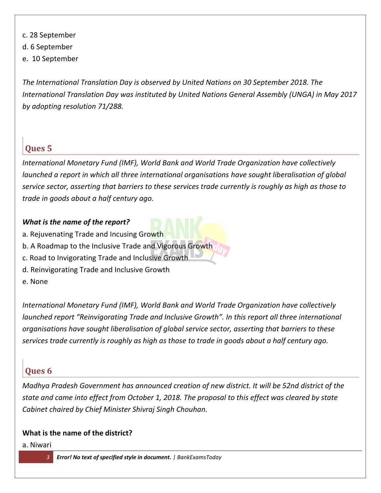- c. 28 September
- d. 6 September
- e. 10 September

*The International Translation Day is observed by United Nations on 30 September 2018. The International Translation Day was instituted by United Nations General Assembly (UNGA) in May 2017 by adopting resolution 71/288.*

## **Ques 5**

*International Monetary Fund (IMF), World Bank and World Trade Organization have collectively launched a report in which all three international organisations have sought liberalisation of global service sector, asserting that barriers to these services trade currently is roughly as high as those to trade in goods about a half century ago.*

#### *What is the name of the report?*

- a. Rejuvenating Trade and Incusing Growth
- b. A Roadmap to the Inclusive Trade and Vigorous Growth
- c. Road to Invigorating Trade and Inclusive Growth
- d. Reinvigorating Trade and Inclusive Growth
- e. None

*International Monetary Fund (IMF), World Bank and World Trade Organization have collectively launched report "Reinvigorating Trade and Inclusive Growth". In this report all three international organisations have sought liberalisation of global service sector, asserting that barriers to these services trade currently is roughly as high as those to trade in goods about a half century ago.*

## **Ques 6**

*Madhya Pradesh Government has announced creation of new district. It will be 52nd district of the state and came into effect from October 1, 2018. The proposal to this effect was cleared by state Cabinet chaired by Chief Minister Shivraj Singh Chouhan.*

#### **What is the name of the district?**

a. Niwari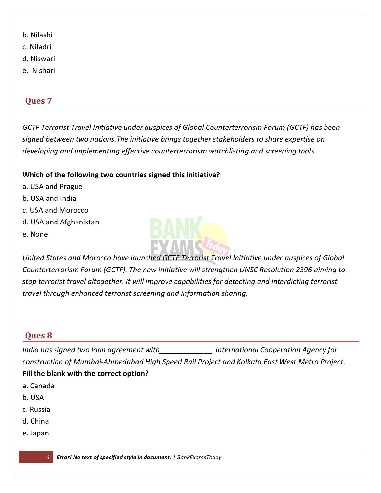- b. Nilashi
- c. Niladri
- d. Niswari
- e. Nishari

*GCTF Terrorist Travel Initiative under auspices of Global Counterterrorism Forum (GCTF) has been signed between two nations.The initiative brings together stakeholders to share expertise on developing and implementing effective counterterrorism watchlisting and screening tools.*

#### **Which of the following two countries signed this initiative?**

- a. USA and Prague
- b. USA and India
- c. USA and Morocco
- d. USA and Afghanistan
- e. None



*United States and Morocco have launched GCTF Terrorist Travel Initiative under auspices of Global Counterterrorism Forum (GCTF). The new initiative will strengthen UNSC Resolution 2396 aiming to stop terrorist travel altogether. It will improve capabilities for detecting and interdicting terrorist travel through enhanced terrorist screening and information sharing.*

## **Ques 8**

*India has signed two loan agreement with\_\_\_\_\_\_\_\_\_\_\_\_\_ International Cooperation Agency for construction of Mumbai-Ahmedabad High Speed Rail Project and Kolkata East West Metro Project.*  **Fill the blank with the correct option?**

- a. Canada
- b. USA
- c. Russia
- d. China
- e. Japan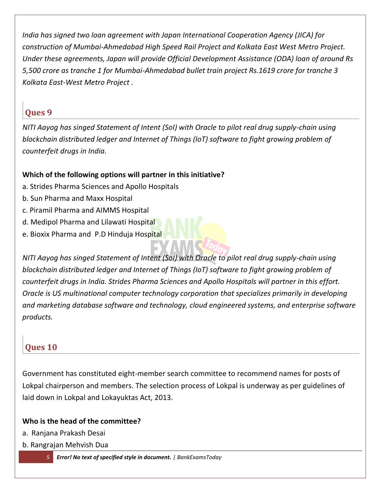*India has signed two loan agreement with Japan International Cooperation Agency (JICA) for construction of Mumbai-Ahmedabad High Speed Rail Project and Kolkata East West Metro Project. Under these agreements, Japan will provide Official Development Assistance (ODA) loan of around Rs 5,500 crore as tranche 1 for Mumbai-Ahmedabad bullet train project Rs.1619 crore for tranche 3 Kolkata East-West Metro Project .*

## **Ques 9**

*NITI Aayog has singed Statement of Intent (SoI) with Oracle to pilot real drug supply-chain using blockchain distributed ledger and Internet of Things (IoT) software to fight growing problem of counterfeit drugs in India.*

## **Which of the following options will partner in this initiative?**

- a. Strides Pharma Sciences and Apollo Hospitals
- b. Sun Pharma and Maxx Hospital
- c. Piramil Pharma and AIMMS Hospital
- d. Medipol Pharma and Lilawati Hospital
- e. Bioxix Pharma and P.D Hinduja Hospital

*NITI Aayog has singed Statement of Intent (SoI) with Oracle to pilot real drug supply-chain using blockchain distributed ledger and Internet of Things (IoT) software to fight growing problem of counterfeit drugs in India. Strides Pharma Sciences and Apollo Hospitals will partner in this effort. Oracle is US multinational computer technology corporation that specializes primarily in developing and marketing database software and technology, cloud engineered systems, and enterprise software products.*

## **Ques 10**

Government has constituted eight-member search committee to recommend names for posts of Lokpal chairperson and members. The selection process of Lokpal is underway as per guidelines of laid down in Lokpal and Lokayuktas Act, 2013.

#### **Who is the head of the committee?**

- a. Ranjana Prakash Desai
- b. Rangrajan Mehvish Dua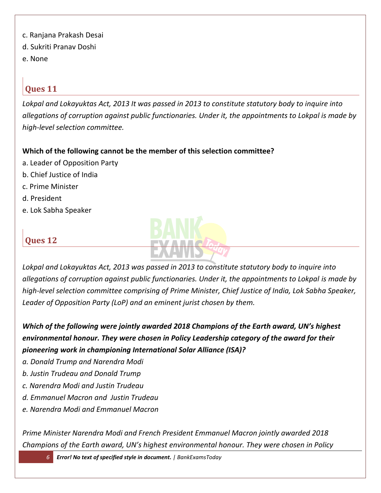- c. Ranjana Prakash Desai
- d. Sukriti Pranav Doshi
- e. None

*Lokpal and Lokayuktas Act, 2013 It was passed in 2013 to constitute statutory body to inquire into allegations of corruption against public functionaries. Under it, the appointments to Lokpal is made by high-level selection committee.*

#### **Which of the following cannot be the member of this selection committee?**

- a. Leader of Opposition Party
- b. Chief Justice of India
- c. Prime Minister
- d. President
- e. Lok Sabha Speaker



## **Ques 12**

*Lokpal and Lokayuktas Act, 2013 was passed in 2013 to constitute statutory body to inquire into allegations of corruption against public functionaries. Under it, the appointments to Lokpal is made by high-level selection committee comprising of Prime Minister, Chief Justice of India, Lok Sabha Speaker, Leader of Opposition Party (LoP) and an eminent jurist chosen by them.*

*Which of the following were jointly awarded 2018 Champions of the Earth award, UN's highest environmental honour. They were chosen in Policy Leadership category of the award for their pioneering work in championing International Solar Alliance (ISA)?*

- *a. Donald Trump and Narendra Modi*
- *b. Justin Trudeau and Donald Trump*
- *c. Narendra Modi and Justin Trudeau*
- *d. Emmanuel Macron and Justin Trudeau*
- *e. Narendra Modi and Emmanuel Macron*

*Prime Minister Narendra Modi and French President Emmanuel Macron jointly awarded 2018 Champions of the Earth award, UN's highest environmental honour. They were chosen in Policy*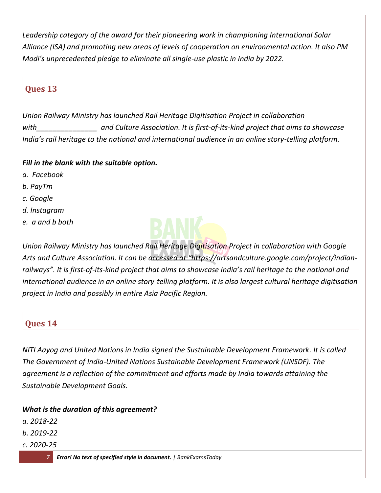*Leadership category of the award for their pioneering work in championing International Solar Alliance (ISA) and promoting new areas of levels of cooperation on environmental action. It also PM Modi's unprecedented pledge to eliminate all single-use plastic in India by 2022.*

## **Ques 13**

*Union Railway Ministry has launched Rail Heritage Digitisation Project in collaboration*  with and Culture Association. It is first-of-its-kind project that aims to showcase *India's rail heritage to the national and international audience in an online story-telling platform.*

#### *Fill in the blank with the suitable option.*

- *a. Facebook*
- *b. PayTm*
- *c. Google*
- *d. Instagram*
- *e. a and b both*



*Union Railway Ministry has launched Rail Heritage Digitisation Project in collaboration with Google Arts and Culture Association. It can be accessed at "https://artsandculture.google.com/project/indianrailways". It is first-of-its-kind project that aims to showcase India's rail heritage to the national and international audience in an online story-telling platform. It is also largest cultural heritage digitisation project in India and possibly in entire Asia Pacific Region.*

## **Ques 14**

*NITI Aayog and United Nations in India signed the Sustainable Development Framework. It is called The Government of India-United Nations Sustainable Development Framework (UNSDF). The agreement is a reflection of the commitment and efforts made by India towards attaining the Sustainable Development Goals.*

*What is the duration of this agreement?*

- *a. 2018-22*
- *b. 2019-22*
- *c. 2020-25*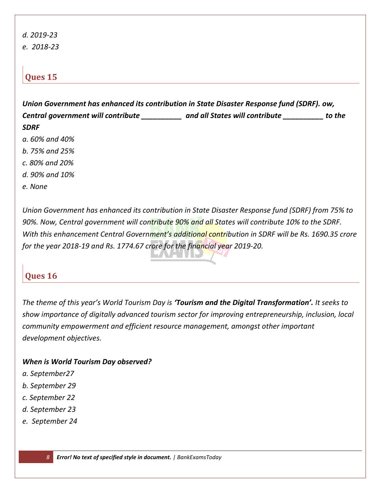*d. 2019-23 e. 2018-23*

## **Ques 15**

*Union Government has enhanced its contribution in State Disaster Response fund (SDRF). ow, Central government will contribute \_\_\_\_\_\_\_\_\_\_ and all States will contribute \_\_\_\_\_\_\_\_\_\_ to the SDRF*

- *a. 60% and 40%*
- *b. 75% and 25%*
- *c. 80% and 20%*
- *d. 90% and 10%*
- *e. None*

*Union Government has enhanced its contribution in State Disaster Response fund (SDRF) from 75% to 90%. Now, Central government will contribute 90% and all States will contribute 10% to the SDRF. With this enhancement Central Government's additional contribution in SDRF will be Rs. 1690.35 crore for the year 2018-19 and Rs. 1774.67 crore for the financial year 2019-20.*

## **Ques 16**

*The theme of this year's World Tourism Day is 'Tourism and the Digital Transformation'. It seeks to show importance of digitally advanced tourism sector for improving entrepreneurship, inclusion, local community empowerment and efficient resource management, amongst other important development objectives.*

#### *When is World Tourism Day observed?*

- *a. September27*
- *b. September 29*
- *c. September 22*
- *d. September 23*
- *e. September 24*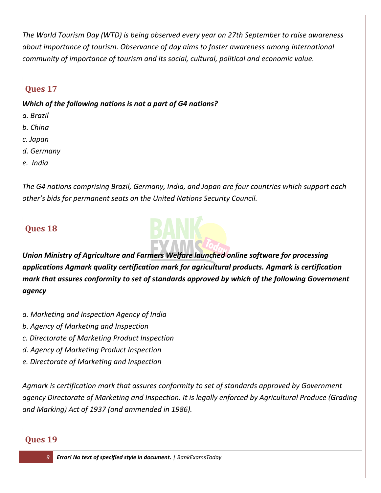*The World Tourism Day (WTD) is being observed every year on 27th September to raise awareness about importance of tourism. Observance of day aims to foster awareness among international community of importance of tourism and its social, cultural, political and economic value.*

## **Ques 17**

*Which of the following nations is not a part of G4 nations?*

- *a. Brazil*
- *b. China*
- *c. Japan*
- *d. Germany*
- *e. India*

*The G4 nations comprising Brazil, Germany, India, and Japan are four countries which support each other's bids for permanent seats on the United Nations Security Council.*

## **Ques 18**

*Union Ministry of Agriculture and Farmers Welfare launched online software for processing applications Agmark quality certification mark for agricultural products. Agmark is certification mark that assures conformity to set of standards approved by which of the following Government agency* 

- *a. Marketing and Inspection Agency of India*
- *b. Agency of Marketing and Inspection*
- *c. Directorate of Marketing Product Inspection*
- *d. Agency of Marketing Product Inspection*
- *e. Directorate of Marketing and Inspection*

*Agmark is certification mark that assures conformity to set of standards approved by Government agency Directorate of Marketing and Inspection. It is legally enforced by Agricultural Produce (Grading and Marking) Act of 1937 (and ammended in 1986).*

## **Ques 19**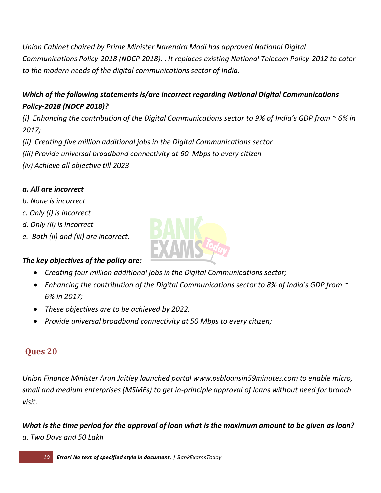*Union Cabinet chaired by Prime Minister Narendra Modi has approved National Digital Communications Policy-2018 (NDCP 2018). . It replaces existing National Telecom Policy-2012 to cater to the modern needs of the digital communications sector of India.*

## *Which of the following statements is/are incorrect regarding National Digital Communications Policy-2018 (NDCP 2018)?*

*(i) Enhancing the contribution of the Digital Communications sector to 9% of India's GDP from ~ 6% in 2017;*

*(ii) Creating five million additional jobs in the Digital Communications sector*

- *(iii) Provide universal broadband connectivity at 60 Mbps to every citizen*
- *(iv) Achieve all objective till 2023*

#### *a. All are incorrect*

- *b. None is incorrect*
- *c. Only (i) is incorrect*
- *d. Only (ii) is incorrect*
- *e. Both (ii) and (iii) are incorrect.*

#### *The key objectives of the policy are:*

- *Creating four million additional jobs in the Digital Communications sector;*
- *Enhancing the contribution of the Digital Communications sector to 8% of India's GDP from ~ 6% in 2017;*
- *These objectives are to be achieved by 2022.*
- *Provide universal broadband connectivity at 50 Mbps to every citizen;*

## **Ques 20**

*Union Finance Minister Arun Jaitley launched portal www.psbloansin59minutes.com to enable micro, small and medium enterprises (MSMEs) to get in-principle approval of loans without need for branch visit.*

*What is the time period for the approval of loan what is the maximum amount to be given as loan? a. Two Days and 50 Lakh*

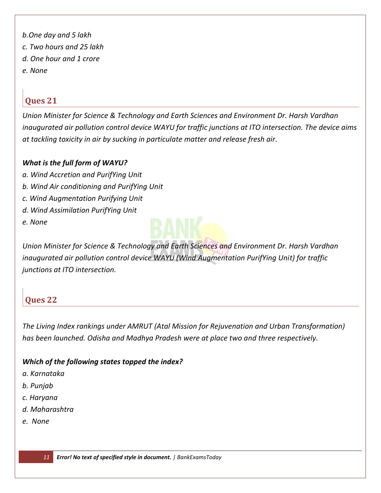*b.One day and 5 lakh c. Two hours and 25 lakh d. One hour and 1 crore e. None*

## **Ques 21**

*Union Minister for Science & Technology and Earth Sciences and Environment Dr. Harsh Vardhan inaugurated air pollution control device WAYU for traffic junctions at ITO intersection. The device aims at tackling toxicity in air by sucking in particulate matter and release fresh air.*

#### *What is the full form of WAYU?*

- *a. Wind Accretion and PurifYing Unit*
- *b. Wind Air conditioning and PurifYing Unit*
- *c. Wind Augmentation Purifying Unit*
- *d. Wind Assimilation PurifYing Unit*
- *e. None*



*Union Minister for Science & Technology and Earth Sciences and Environment Dr. Harsh Vardhan inaugurated air pollution control device WAYU (Wind Augmentation PurifYing Unit) for traffic junctions at ITO intersection.* 

## **Ques 22**

*The Living Index rankings under AMRUT (Atal Mission for Rejuvenation and Urban Transformation) has been launched. Odisha and Madhya Pradesh were at place two and three respectively.* 

#### *Which of the following states topped the index?*

- *a. Karnataka*
- *b. Punjab*
- *c. Haryana*
- *d. Maharashtra*
- *e. None*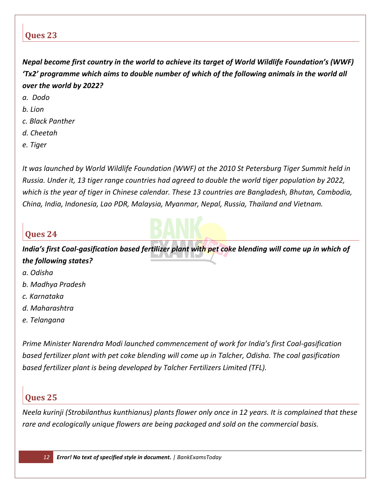*Nepal become first country in the world to achieve its target of World Wildlife Foundation's (WWF) 'Tx2' programme which aims to double number of which of the following animals in the world all over the world by 2022?*

- *a. Dodo*
- *b. Lion*
- *c. Black Panther*
- *d. Cheetah*
- *e. Tiger*

*It was launched by World Wildlife Foundation (WWF) at the 2010 St Petersburg Tiger Summit held in Russia. Under it, 13 tiger range countries had agreed to double the world tiger population by 2022, which is the year of tiger in Chinese calendar. These 13 countries are Bangladesh, Bhutan, Cambodia, China, India, Indonesia, Lao PDR, Malaysia, Myanmar, Nepal, Russia, Thailand and Vietnam.*

#### **Ques 24**

*India's first Coal-gasification based fertilizer plant with pet coke blending will come up in which of the following states?*

- *a. Odisha*
- *b. Madhya Pradesh*
- *c. Karnataka*
- *d. Maharashtra*
- *e. Telangana*

*Prime Minister Narendra Modi launched commencement of work for India's first Coal-gasification based fertilizer plant with pet coke blending will come up in Talcher, Odisha. The coal gasification based fertilizer plant is being developed by Talcher Fertilizers Limited (TFL).*

## **Ques 25**

*Neela kurinji (Strobilanthus kunthianus) plants flower only once in 12 years. It is complained that these rare and ecologically unique flowers are being packaged and sold on the commercial basis.*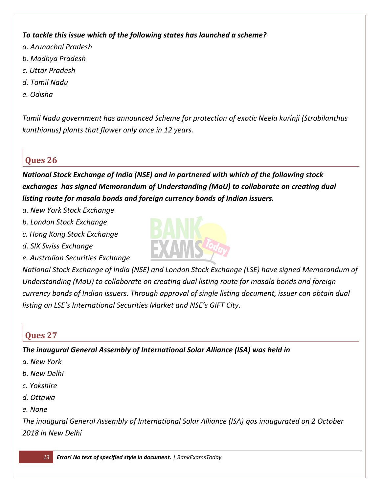#### *To tackle this issue which of the following states has launched a scheme?*

- *a. Arunachal Pradesh*
- *b. Madhya Pradesh*
- *c. Uttar Pradesh*
- *d. Tamil Nadu*
- *e. Odisha*

*Tamil Nadu government has announced Scheme for protection of exotic Neela kurinji (Strobilanthus kunthianus) plants that flower only once in 12 years.* 

## **Ques 26**

*National Stock Exchange of India (NSE) and in partnered with which of the following stock exchanges has signed Memorandum of Understanding (MoU) to collaborate on creating dual listing route for masala bonds and foreign currency bonds of Indian issuers.* 

- *a. New York Stock Exchange*
- *b. London Stock Exchange*
- *c. Hong Kong Stock Exchange*
- *d. SIX Swiss Exchange*
- *e. Australian Securities Exchange*



*National Stock Exchange of India (NSE) and London Stock Exchange (LSE) have signed Memorandum of Understanding (MoU) to collaborate on creating dual listing route for masala bonds and foreign currency bonds of Indian issuers. Through approval of single listing document, issuer can obtain dual listing on LSE's International Securities Market and NSE's GIFT City.*

## **Ques 27**

*The inaugural General Assembly of International Solar Alliance (ISA) was held in*

- *a. New York*
- *b. New Delhi*
- *c. Yokshire*
- *d. Ottawa*
- *e. None*

*The inaugural General Assembly of International Solar Alliance (ISA) qas inaugurated on 2 October 2018 in New Delhi*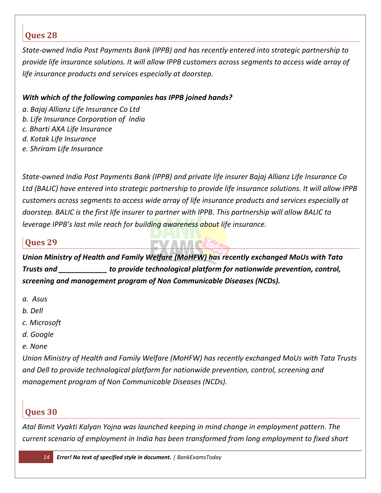*State-owned India Post Payments Bank (IPPB) and has recently entered into strategic partnership to provide life insurance solutions. It will allow IPPB customers across segments to access wide array of life insurance products and services especially at doorstep.*

#### *With which of the following companies has IPPB joined hands?*

- *a. Bajaj Allianz Life Insurance Co Ltd*
- *b. Life Insurance Corporation of India*
- *c. Bharti AXA Life Insurance*
- *d. Kotak Life Insurance*
- *e. Shriram Life Insurance*

*State-owned India Post Payments Bank (IPPB) and private life insurer Bajaj Allianz Life Insurance Co Ltd (BALIC) have entered into strategic partnership to provide life insurance solutions. It will allow IPPB customers across segments to access wide array of life insurance products and services especially at doorstep. BALIC is the first life insurer to partner with IPPB. This partnership will allow BALIC to leverage IPPB's last mile reach for building awareness about life insurance.*

## **Ques 29**

*Union Ministry of Health and Family Welfare (MoHFW) has recently exchanged MoUs with Tata Trusts and \_\_\_\_\_\_\_\_\_\_\_\_ to provide technological platform for nationwide prevention, control, screening and management program of Non Communicable Diseases (NCDs).*

- *a. Asus*
- *b. Dell*
- *c. Microsoft*
- *d. Google*
- *e. None*

*Union Ministry of Health and Family Welfare (MoHFW) has recently exchanged MoUs with Tata Trusts and Dell to provide technological platform for nationwide prevention, control, screening and management program of Non Communicable Diseases (NCDs).*

## **Ques 30**

*Atal Bimit Vyakti Kalyan Yojna was launched keeping in mind change in employment pattern. The current scenario of employment in India has been transformed from long employment to fixed short*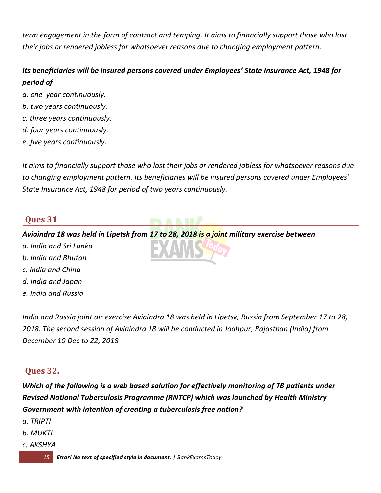*term engagement in the form of contract and temping. It aims to financially support those who lost their jobs or rendered jobless for whatsoever reasons due to changing employment pattern.* 

## *Its beneficiaries will be insured persons covered under Employees' State Insurance Act, 1948 for period of*

- *a. one year continuously.*
- *b. two years continuously.*
- *c. three years continuously.*
- *d. four years continuously.*
- *e. five years continuously.*

*It aims to financially support those who lost their jobs or rendered jobless for whatsoever reasons due to changing employment pattern. Its beneficiaries will be insured persons covered under Employees' State Insurance Act, 1948 for period of two years continuously.*

## **Ques 31**

#### *Aviaindra 18 was held in Lipetsk from 17 to 28, 2018 is a joint military exercise between*

- *a. India and Sri Lanka*
- *b. India and Bhutan*
- *c. India and China*
- *d. India and Japan*
- *e. India and Russia*

*India and Russia joint air exercise Aviaindra 18 was held in Lipetsk, Russia from September 17 to 28, 2018. The second session of Aviaindra 18 will be conducted in Jodhpur, Rajasthan (India) from December 10 Dec to 22, 2018*

## **Ques 32.**

*Which of the following is a web based solution for effectively monitoring of TB patients under Revised National Tuberculosis Programme (RNTCP) which was launched by Health Ministry Government with intention of creating a tuberculosis free nation?*

*a. TRIPTI*

- *b. MUKTI*
- *c. AKSHYA*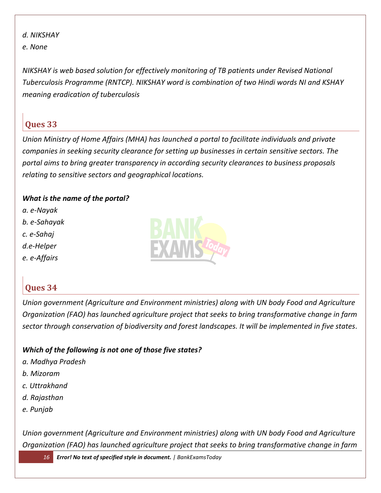*d. NIKSHAY e. None*

*NIKSHAY is web based solution for effectively monitoring of TB patients under Revised National Tuberculosis Programme (RNTCP). NIKSHAY word is combination of two Hindi words NI and KSHAY meaning eradication of tuberculosis*

## **Ques 33**

*Union Ministry of Home Affairs (MHA) has launched a portal to facilitate individuals and private companies in seeking security clearance for setting up businesses in certain sensitive sectors. The portal aims to bring greater transparency in according security clearances to business proposals relating to sensitive sectors and geographical locations.*

#### *What is the name of the portal?*

*a. e-Nayak b. e-Sahayak c. e-Sahaj d.e-Helper e. e-Affairs*



## **Ques 34**

*Union government (Agriculture and Environment ministries) along with UN body Food and Agriculture Organization (FAO) has launched agriculture project that seeks to bring transformative change in farm sector through conservation of biodiversity and forest landscapes. It will be implemented in five states.*

#### *Which of the following is not one of those five states?*

- *a. Madhya Pradesh*
- *b. Mizoram*
- *c. Uttrakhand*
- *d. Rajasthan*
- *e. Punjab*

*Union government (Agriculture and Environment ministries) along with UN body Food and Agriculture Organization (FAO) has launched agriculture project that seeks to bring transformative change in farm*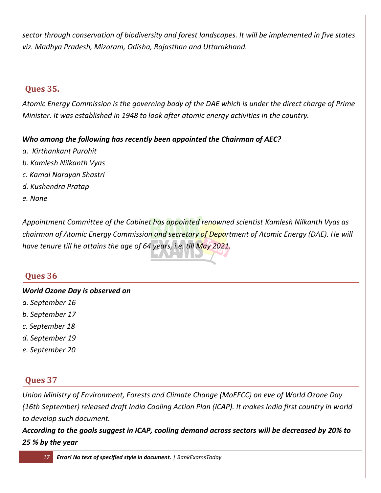*sector through conservation of biodiversity and forest landscapes. It will be implemented in five states viz. Madhya Pradesh, Mizoram, Odisha, Rajasthan and Uttarakhand.*

#### **Ques 35.**

*Atomic Energy Commission is the governing body of the DAE which is under the direct charge of Prime Minister. It was established in 1948 to look after atomic energy activities in the country.*

#### *Who among the following has recently been appointed the Chairman of AEC?*

- *a. Kirthankant Purohit*
- *b. Kamlesh Nilkanth Vyas*
- *c. Kamal Narayan Shastri*
- *d. Kushendra Pratap*
- *e. None*

*Appointment Committee of the Cabinet has appointed renowned scientist Kamlesh Nilkanth Vyas as chairman of Atomic Energy Commission and secretary of Department of Atomic Energy (DAE). He will have tenure till he attains the age of 64 years, i.e. till May 2021.*

## **Ques 36**

#### *World Ozone Day is observed on*

- *a. September 16*
- *b. September 17*
- *c. September 18*
- *d. September 19*
- *e. September 20*

## **Ques 37**

*Union Ministry of Environment, Forests and Climate Change (MoEFCC) on eve of World Ozone Day (16th September) released draft India Cooling Action Plan (ICAP). It makes India first country in world to develop such document.*

*According to the goals suggest in ICAP, cooling demand across sectors will be decreased by 20% to 25 % by the year*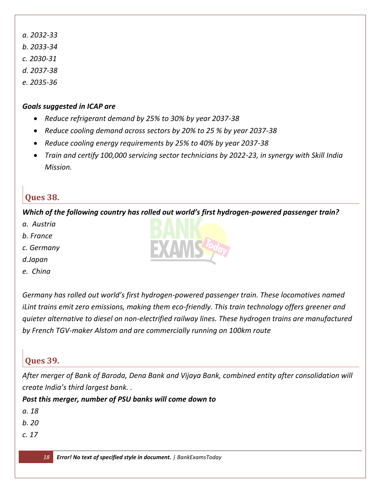- *a. 2032-33*
- *b. 2033-34*
- *c. 2030-31*
- *d. 2037-38*
- *e. 2035-36*

#### *Goals suggested in ICAP are*

- *Reduce refrigerant demand by 25% to 30% by year 2037-38*
- *Reduce cooling demand across sectors by 20% to 25 % by year 2037-38*
- *Reduce cooling energy requirements by 25% to 40% by year 2037-38*
- *Train and certify 100,000 servicing sector technicians by 2022-23, in synergy with Skill India Mission.*

## **Ques 38.**

*Which of the following country has rolled out world's first hydrogen-powered passenger train?*

- *a. Austria*
- *b. France*
- *c. Germany*
- *d.Japan*
- *e. China*

*Germany has rolled out world's first hydrogen-powered passenger train. These locomotives named iLint trains emit zero emissions, making them eco-friendly. This train technology offers greener and quieter alternative to diesel on non-electrified railway lines. These hydrogen trains are manufactured by French TGV-maker Alstom and are commercially running on 100km route*

## **Ques 39.**

*After merger of Bank of Baroda, Dena Bank and Vijaya Bank, combined entity after consolidation will create India's third largest bank. .* 

*Post this merger, number of PSU banks will come down to*

- *a. 18*
- *b. 20*
- *c. 17*

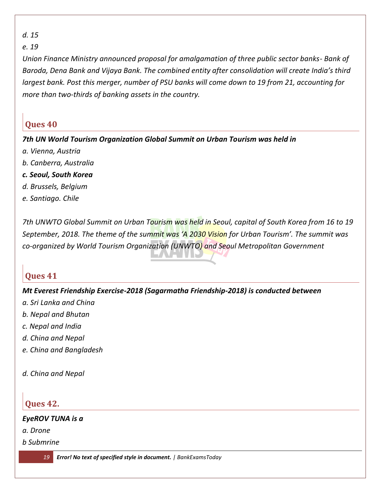*d. 15*

*e. 19*

*Union Finance Ministry announced proposal for amalgamation of three public sector banks- Bank of Baroda, Dena Bank and Vijaya Bank. The combined entity after consolidation will create India's third largest bank. Post this merger, number of PSU banks will come down to 19 from 21, accounting for more than two-thirds of banking assets in the country.*

## **Ques 40**

*7th UN World Tourism Organization Global Summit on Urban Tourism was held in*

- *a. Vienna, Austria*
- *b. Canberra, Australia*
- *c. Seoul, South Korea*
- *d. Brussels, Belgium*
- *e. Santiago. Chile*

*7th UNWTO Global Summit on Urban Tourism was held in Seoul, capital of South Korea from 16 to 19 September, 2018. The theme of the summit was 'A 2030 Vision for Urban Tourism'. The summit was co-organized by World Tourism Organization (UNWTO) and Seoul Metropolitan Government*

## **Ques 41**

#### *Mt Everest Friendship Exercise-2018 (Sagarmatha Friendship-2018) is conducted between*

- *a. Sri Lanka and China*
- *b. Nepal and Bhutan*
- *c. Nepal and India*
- *d. China and Nepal*
- *e. China and Bangladesh*
- *d. China and Nepal*

## **Ques 42.**

#### *EyeROV TUNA is a*

*a. Drone*

*b Submrine*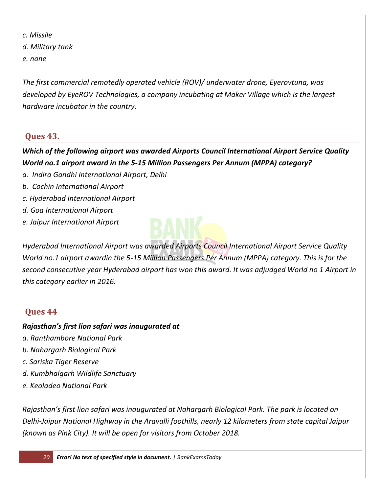*c. Missile d. Military tank e. none*

*The first commercial remotedly operated vehicle (ROV)/ underwater drone, Eyerovtuna, was developed by EyeROV Technologies, a company incubating at Maker Village which is the largest hardware incubator in the country.*

## **Ques 43.**

*Which of the following airport was awarded Airports Council International Airport Service Quality World no.1 airport award in the 5-15 Million Passengers Per Annum (MPPA) category?*

- *a. Indira Gandhi International Airport, Delhi*
- *b. Cochin International Airport*
- *c. Hyderabad International Airport*
- *d. Goa International Airport*
- *e. Jaipur International Airport*



*Hyderabad International Airport was awarded Airports Council International Airport Service Quality World no.1 airport awardin the 5-15 Million Passengers Per Annum (MPPA) category. This is for the second consecutive year Hyderabad airport has won this award. It was adjudged World no 1 Airport in this category earlier in 2016.*

## **Ques 44**

#### *Rajasthan's first lion safari was inaugurated at*

- *a. Ranthambore National Park*
- *b. Nahargarh Biological Park*
- *c. Sariska Tiger Reserve*
- *d. Kumbhalgarh Wildlife Sanctuary*
- *e. Keoladeo National Park*

*Rajasthan's first lion safari was inaugurated at Nahargarh Biological Park. The park is located on Delhi-Jaipur National Highway in the Aravalli foothills, nearly 12 kilometers from state capital Jaipur (known as Pink City). It will be open for visitors from October 2018.*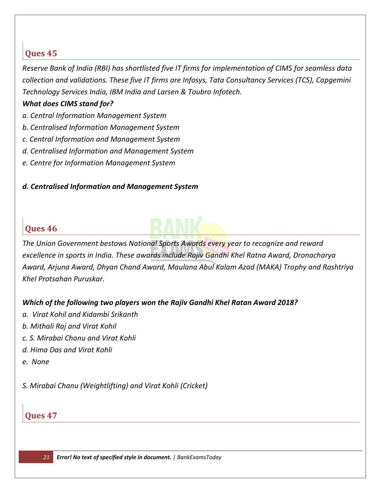*Reserve Bank of India (RBI) has shortlisted five IT firms for implementation of CIMS for seamless data collection and validations. These five IT firms are Infosys, Tata Consultancy Services (TCS), Capgemini Technology Services India, IBM India and Larsen & Toubro Infotech.*

#### *What does CIMS stand for?*

- *a. Central Information Management System*
- *b. Centralised Information Management System*
- *c. Central Information and Management System*
- *d. Centralised Information and Management System*
- *e. Centre for Information Management System*

#### *d. Centralised Information and Management System*

## **Ques 46**



*The Union Government bestows National Sports Awards every year to recognize and reward excellence in sports in India. These awards include Rajiv Gandhi Khel Ratna Award, Dronacharya Award, Arjuna Award, Dhyan Chand Award, Maulana Abul Kalam Azad (MAKA) Trophy and Rashtriya Khel Protsahan Puruskar.*

#### *Which of the following two players won the Rajiv Gandhi Khel Ratan Award 2018?*

- *a. Virat Kohil and Kidambi Srikanth*
- *b. Mithali Raj and Virat Kohil*
- *c. S. Mirabai Chanu and Virat Kohli*
- *d. Hima Das and Virat Kohli*
- *e. None*

*S. Mirabai Chanu (Weightlifting) and Virat Kohli (Cricket)*

#### **Ques 47**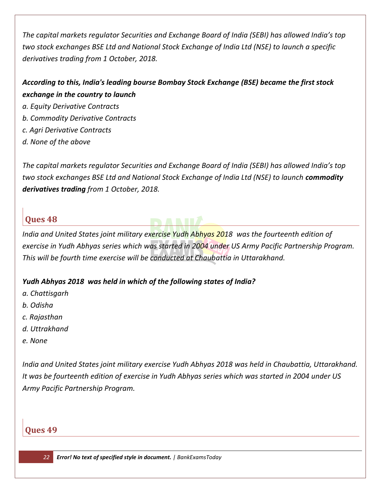*The capital markets regulator Securities and Exchange Board of India (SEBI) has allowed India's top two stock exchanges BSE Ltd and National Stock Exchange of India Ltd (NSE) to launch a specific derivatives trading from 1 October, 2018.*

*According to this, India's leading bourse Bombay Stock Exchange (BSE) became the first stock exchange in the country to launch* 

- *a. Equity Derivative Contracts*
- *b. Commodity Derivative Contracts*
- *c. Agri Derivative Contracts*
- *d. None of the above*

*The capital markets regulator Securities and Exchange Board of India (SEBI) has allowed India's top two stock exchanges BSE Ltd and National Stock Exchange of India Ltd (NSE) to launch <i>commodity derivatives trading from 1 October, 2018.*

#### **Ques 48**

*India and United States joint military exercise Yudh Abhyas 2018 was the fourteenth edition of exercise in Yudh Abhyas series which was started in 2004 under US Army Pacific Partnership Program. This will be fourth time exercise will be conducted at Chaubattia in Uttarakhand.*

#### *Yudh Abhyas 2018 was held in which of the following states of India?*

- *a. Chattisgarh*
- *b. Odisha*
- *c. Rajasthan*
- *d. Uttrakhand*
- *e. None*

*India and United States joint military exercise Yudh Abhyas 2018 was held in Chaubattia, Uttarakhand. It was be fourteenth edition of exercise in Yudh Abhyas series which was started in 2004 under US Army Pacific Partnership Program.* 

#### **Ques 49**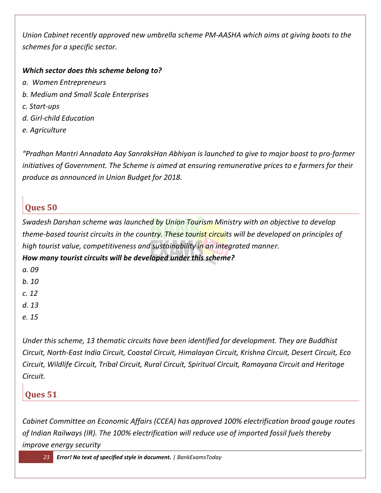*Union Cabinet recently approved new umbrella scheme PM-AASHA which aims at giving boots to the schemes for a specific sector.*

#### *Which sector does this scheme belong to?*

- *a. Women Entrepreneurs*
- *b. Medium and Small Scale Enterprises*
- *c. Start-ups*
- *d. Girl-child Education*
- *e. Agriculture*

*"Pradhan Mantri Annadata Aay SanraksHan Abhiyan is launched to give to major boost to pro-farmer initiatives of Government. The Scheme is aimed at ensuring remunerative prices to e farmers for their produce as announced in Union Budget for 2018.*

## **Ques 50**

*Swadesh Darshan scheme was launched by Union Tourism Ministry with an objective to develop theme-based tourist circuits in the country. These tourist circuits will be developed on principles of high tourist value, competitiveness and sustainability in an integrated manner.*

*How many tourist circuits will be developed under this scheme?*

*a. 09*

*b. 10*

*c. 12*

*d. 13*

*e. 15*

*Under this scheme, 13 thematic circuits have been identified for development. They are Buddhist Circuit, North-East India Circuit, Coastal Circuit, Himalayan Circuit, Krishna Circuit, Desert Circuit, Eco Circuit, Wildlife Circuit, Tribal Circuit, Rural Circuit, Spiritual Circuit, Ramayana Circuit and Heritage Circuit.*

## **Ques 51**

*Cabinet Committee on Economic Affairs (CCEA) has approved 100% electrification broad gauge routes of Indian Railways (IR). The 100% electrification will reduce use of imported fossil fuels thereby improve energy security*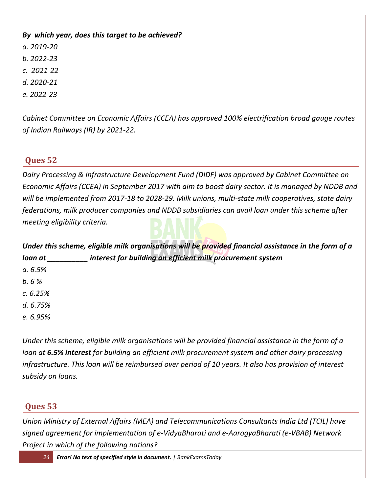#### *By which year, does this target to be achieved?*

- *a. 2019-20*
- *b. 2022-23*
- *c. 2021-22*
- *d. 2020-21*
- *e. 2022-23*

*Cabinet Committee on Economic Affairs (CCEA) has approved 100% electrification broad gauge routes of Indian Railways (IR) by 2021-22.* 

## **Ques 52**

*Dairy Processing & Infrastructure Development Fund (DIDF) was approved by Cabinet Committee on Economic Affairs (CCEA) in September 2017 with aim to boost dairy sector. It is managed by NDDB and will be implemented from 2017-18 to 2028-29. Milk unions, multi-state milk cooperatives, state dairy federations, milk producer companies and NDDB subsidiaries can avail loan under this scheme after meeting eligibility criteria.*

| Under this scheme, eligible milk organisations will be provided financial assistance in the form of a |                                                            |
|-------------------------------------------------------------------------------------------------------|------------------------------------------------------------|
| loan at                                                                                               | interest for building an efficient milk procurement system |
| a. 6.5%                                                                                               |                                                            |
| b.6%                                                                                                  |                                                            |
| c. 6.25%                                                                                              |                                                            |
| d. 6.75%                                                                                              |                                                            |
| e. 6.95%                                                                                              |                                                            |

*Under this scheme, eligible milk organisations will be provided financial assistance in the form of a loan at 6.5% interest for building an efficient milk procurement system and other dairy processing infrastructure. This loan will be reimbursed over period of 10 years. It also has provision of interest subsidy on loans.*

## **Ques 53**

*Union Ministry of External Affairs (MEA) and Telecommunications Consultants India Ltd (TCIL) have signed agreement for implementation of e-VidyaBharati and e-AarogyaBharati (e-VBAB) Network Project in which of the following nations?*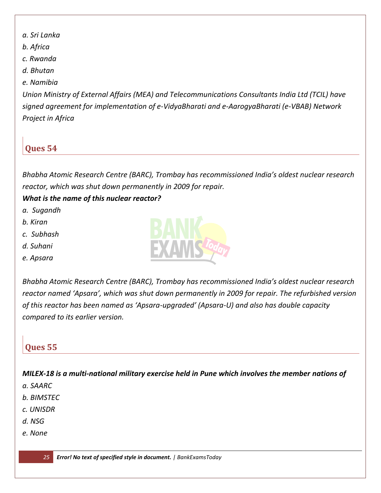- *a. Sri Lanka*
- *b. Africa*
- *c. Rwanda*
- *d. Bhutan*

#### *e. Namibia*

*Union Ministry of External Affairs (MEA) and Telecommunications Consultants India Ltd (TCIL) have signed agreement for implementation of e-VidyaBharati and e-AarogyaBharati (e-VBAB) Network Project in Africa*

## **Ques 54**

*Bhabha Atomic Research Centre (BARC), Trombay has recommissioned India's oldest nuclear research reactor, which was shut down permanently in 2009 for repair.*

#### *What is the name of this nuclear reactor?*

- *a. Sugandh*
- *b. Kiran*
- *c. Subhash*
- *d. Suhani*
- *e. Apsara*



*Bhabha Atomic Research Centre (BARC), Trombay has recommissioned India's oldest nuclear research reactor named 'Apsara', which was shut down permanently in 2009 for repair. The refurbished version of this reactor has been named as 'Apsara-upgraded' (Apsara-U) and also has double capacity compared to its earlier version.*

## **Ques 55**

*MILEX-18 is a multi-national military exercise held in Pune which involves the member nations of*

- *a. SAARC*
- *b. BIMSTEC*
- *c. UNISDR*
- *d. NSG*
- *e. None*

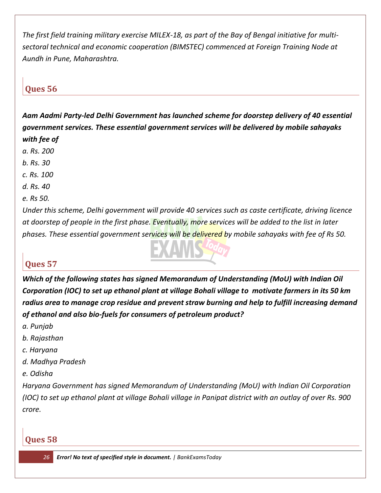*The first field training military exercise MILEX-18, as part of the Bay of Bengal initiative for multisectoral technical and economic cooperation (BIMSTEC) commenced at Foreign Training Node at Aundh in Pune, Maharashtra.*

## **Ques 56**

*Aam Aadmi Party-led Delhi Government has launched scheme for doorstep delivery of 40 essential government services. These essential government services will be delivered by mobile sahayaks with fee of* 

- *a. Rs. 200*
- *b. Rs. 30*
- *c. Rs. 100*
- *d. Rs. 40*
- *e. Rs 50.*

*Under this scheme, Delhi government will provide 40 services such as caste certificate, driving licence at doorstep of people in the first phase. Eventually, more services will be added to the list in later phases. These essential government services will be delivered by mobile sahayaks with fee of Rs 50.*

## **Ques 57**

*Which of the following states has signed Memorandum of Understanding (MoU) with Indian Oil Corporation (IOC) to set up ethanol plant at village Bohali village to motivate farmers in its 50 km radius area to manage crop residue and prevent straw burning and help to fulfill increasing demand of ethanol and also bio-fuels for consumers of petroleum product?*

- *a. Punjab*
- *b. Rajasthan*
- *c. Haryana*
- *d. Madhya Pradesh*
- *e. Odisha*

*Haryana Government has signed Memorandum of Understanding (MoU) with Indian Oil Corporation (IOC) to set up ethanol plant at village Bohali village in Panipat district with an outlay of over Rs. 900 crore.*

#### **Ques 58**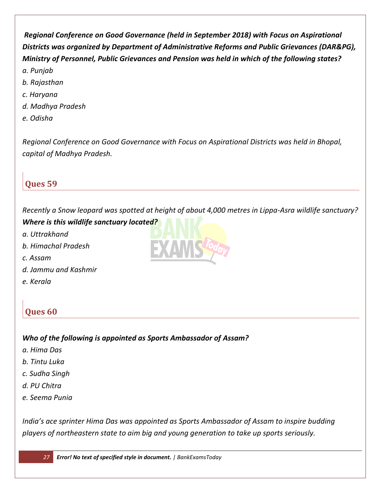*Regional Conference on Good Governance (held in September 2018) with Focus on Aspirational Districts was organized by Department of Administrative Reforms and Public Grievances (DAR&PG), Ministry of Personnel, Public Grievances and Pension was held in which of the following states? a. Punjab*

- *b. Rajasthan*
- *c. Haryana*
- *d. Madhya Pradesh*
- *e. Odisha*

*Regional Conference on Good Governance with Focus on Aspirational Districts was held in Bhopal, capital of Madhya Pradesh.*

## **Ques 59**

*Recently a Snow leopard was spotted at height of about 4,000 metres in Lippa-Asra wildlife sanctuary?*

*Where is this wildlife sanctuary located?*

- *a. Uttrakhand*
- *b. Himachal Pradesh*
- *c. Assam*
- *d. Jammu and Kashmir*
- *e. Kerala*

## **Ques 60**

*Who of the following is appointed as Sports Ambassador of Assam?*

- *a. Hima Das*
- *b. Tintu Luka*
- *c. Sudha Singh*
- *d. PU Chitra*
- *e. Seema Punia*

*India's ace sprinter Hima Das was appointed as Sports Ambassador of Assam to inspire budding players of northeastern state to aim big and young generation to take up sports seriously.*

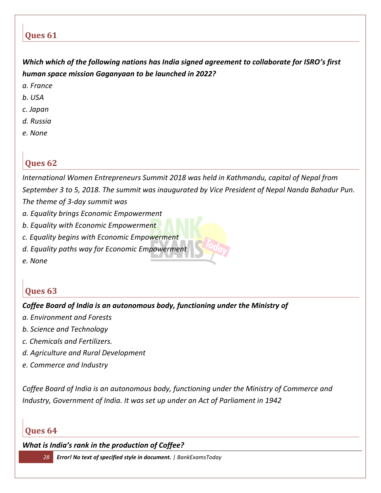*Which which of the following nations has India signed agreement to collaborate for ISRO's first human space mission Gaganyaan to be launched in 2022?*

- *a. France*
- *b. USA*
- *c. Japan*
- *d. Russia*
- *e. None*

## **Ques 62**

*International Women Entrepreneurs Summit 2018 was held in Kathmandu, capital of Nepal from September 3 to 5, 2018. The summit was inaugurated by Vice President of Nepal Nanda Bahadur Pun. The theme of 3-day summit was*

- *a. Equality brings Economic Empowerment*
- *b. Equality with Economic Empowerment*
- *c. Equality begins with Economic Empowerment*
- *d. Equality paths way for Economic Empowerment*
- *e. None*

## **Ques 63**

#### *Coffee Board of India is an autonomous body, functioning under the Ministry of*

- *a. Environment and Forests*
- *b. Science and Technology*
- *c. Chemicals and Fertilizers.*
- *d. Agriculture and Rural Development*
- *e. Commerce and Industry*

*Coffee Board of India is an autonomous body, functioning under the Ministry of Commerce and Industry, Government of India. It was set up under an Act of Parliament in 1942*

#### **Ques 64**

*What is India's rank in the production of Coffee?*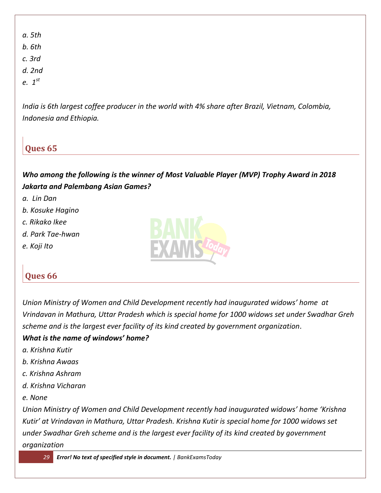- *a. 5th*
- *b. 6th*
- *c. 3rd*
- *d. 2nd*
- *e. 1st*

*India is 6th largest coffee producer in the world with 4% share after Brazil, Vietnam, Colombia, Indonesia and Ethiopia.*

## **Ques 65**

*Who among the following is the winner of Most Valuable Player (MVP) Trophy Award in 2018 Jakarta and Palembang Asian Games?*

- *a. Lin Dan*
- *b. Kosuke Hagino*
- *c. Rikako Ikee*
- *d. Park Tae-hwan*
- *e. Koji Ito*



## **Ques 66**

*Union Ministry of Women and Child Development recently had inaugurated widows' home at Vrindavan in Mathura, Uttar Pradesh which is special home for 1000 widows set under Swadhar Greh scheme and is the largest ever facility of its kind created by government organization.*

#### *What is the name of windows' home?*

- *a. Krishna Kutir*
- *b. Krishna Awaas*
- *c. Krishna Ashram*
- *d. Krishna Vicharan*
- *e. None*

*Union Ministry of Women and Child Development recently had inaugurated widows' home 'Krishna Kutir' at Vrindavan in Mathura, Uttar Pradesh. Krishna Kutir is special home for 1000 widows set under Swadhar Greh scheme and is the largest ever facility of its kind created by government organization*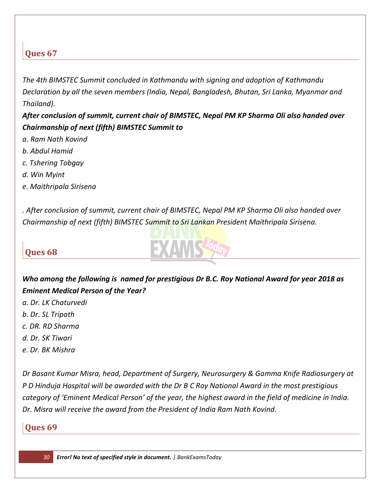*The 4th BIMSTEC Summit concluded in Kathmandu with signing and adoption of Kathmandu Declaration by all the seven members (India, Nepal, Bangladesh, Bhutan, Sri Lanka, Myanmar and Thailand).* 

*After conclusion of summit, current chair of BIMSTEC, Nepal PM KP Sharma Oli also handed over Chairmanship of next (fifth) BIMSTEC Summit to*

- *a. Ram Nath Kovind*
- *b. Abdul Hamid*
- *c. Tshering Tobgay*
- *d. Win Myint*
- *e. Maithripala Sirisena*

*. After conclusion of summit, current chair of BIMSTEC, Nepal PM KP Sharma Oli also handed over Chairmanship of next (fifth) BIMSTEC Summit to Sri Lankan President Maithripala Sirisena.* 

## **Ques 68**



- *a. Dr. LK Chaturvedi*
- *b. Dr. SL Tripath*
- *c. DR. RD Sharma*
- *d. Dr. SK Tiwari*
- *e. Dr. BK Mishra*

*Dr Basant Kumar Misra, head, Department of Surgery, Neurosurgery & Gamma Knife Radiosurgery at P D Hinduja Hospital will be awarded with the Dr B C Roy National Award in the most prestigious category of 'Eminent Medical Person' of the year, the highest award in the field of medicine in India. Dr. Misra will receive the award from the President of India Ram Nath Kovind.* 

## **Ques 69**